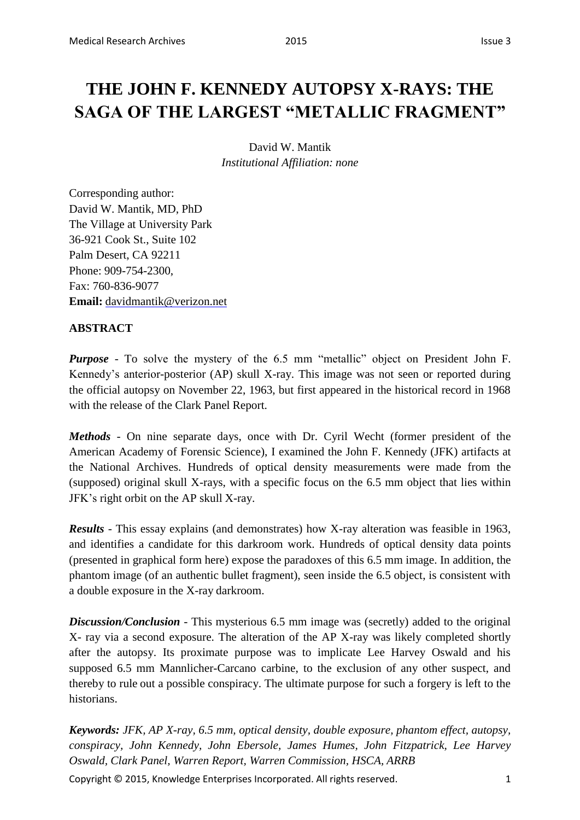# **THE JOHN F. KENNEDY AUTOPSY X-RAYS: THE SAGA OF THE LARGEST "METALLIC FRAGMENT"**

David W. Mantik *Institutional Affiliation: none*

Corresponding author: David W. Mantik, MD, PhD The Village at University Park 36-921 Cook St., Suite 102 Palm Desert, CA 92211 Phone: 909-754-2300, Fax: 760-836-9077 **Email:** davidmantik@verizon.net

# **ABSTRACT**

*Purpose* - To solve the mystery of the 6.5 mm "metallic" object on President John F. Kennedy's anterior-posterior (AP) skull X-ray. This image was not seen or reported during the official autopsy on November 22, 1963, but first appeared in the historical record in 1968 with the release of the Clark Panel Report.

*Methods* - On nine separate days, once with Dr. Cyril Wecht (former president of the American Academy of Forensic Science), I examined the John F. Kennedy (JFK) artifacts at the National Archives. Hundreds of optical density measurements were made from the (supposed) original skull X-rays, with a specific focus on the 6.5 mm object that lies within JFK's right orbit on the AP skull X-ray.

*Results* - This essay explains (and demonstrates) how X-ray alteration was feasible in 1963, and identifies a candidate for this darkroom work. Hundreds of optical density data points (presented in graphical form here) expose the paradoxes of this 6.5 mm image. In addition, the phantom image (of an authentic bullet fragment), seen inside the 6.5 object, is consistent with a double exposure in the X-ray darkroom.

*Discussion/Conclusion* - This mysterious 6.5 mm image was (secretly) added to the original X- ray via a second exposure. The alteration of the AP X-ray was likely completed shortly after the autopsy. Its proximate purpose was to implicate Lee Harvey Oswald and his supposed 6.5 mm Mannlicher-Carcano carbine, to the exclusion of any other suspect, and thereby to rule out a possible conspiracy. The ultimate purpose for such a forgery is left to the historians.

*Keywords: JFK, AP X-ray, 6.5 mm, optical density, double exposure, phantom effect, autopsy, conspiracy, John Kennedy, John Ebersole, James Humes, John Fitzpatrick, Lee Harvey Oswald, Clark Panel, Warren Report, Warren Commission, HSCA, ARRB*

Copyright © 2015, Knowledge Enterprises Incorporated. All rights reserved. 1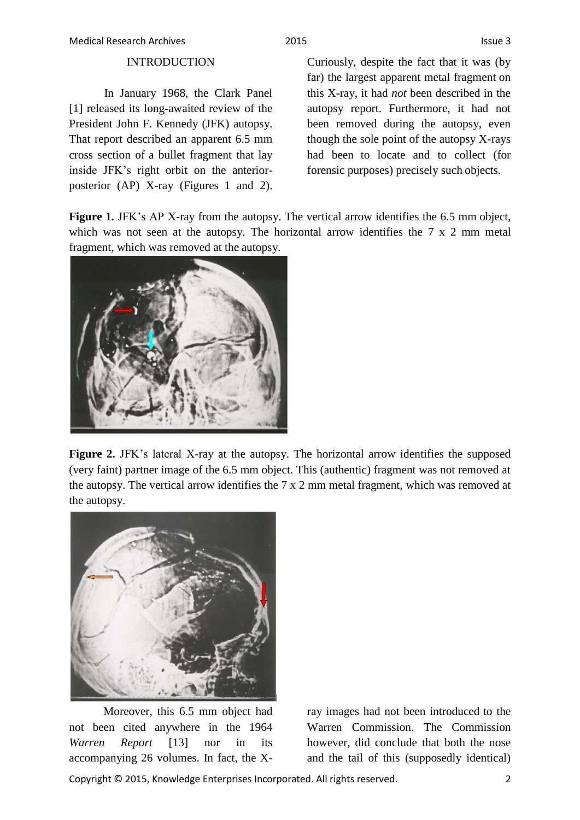### INTRODUCTION

In January 1968, the Clark Panel [1] released its long-awaited review of the President John F. Kennedy (JFK) autopsy. That report described an apparent 6.5 mm cross section of a bullet fragment that lay inside JFK's right orbit on the anteriorposterior (AP) X-ray (Figures 1 and 2).

Curiously, despite the fact that it was (by far) the largest apparent metal fragment on this X-ray, it had *not* been described in the autopsy report. Furthermore, it had not been removed during the autopsy, even though the sole point of the autopsy X-rays had been to locate and to collect (for forensic purposes) precisely such objects.

**Figure 1.** JFK's AP X-ray from the autopsy. The vertical arrow identifies the 6.5 mm object, which was not seen at the autopsy. The horizontal arrow identifies the 7 x 2 mm metal fragment, which was removed at the autopsy.



Figure 2. JFK's lateral X-ray at the autopsy. The horizontal arrow identifies the supposed (very faint) partner image of the 6.5 mm object. This (authentic) fragment was not removed at the autopsy. The vertical arrow identifies the 7 x 2 mm metal fragment, which was removed at the autopsy.



Moreover, this 6.5 mm object had not been cited anywhere in the 1964 *Warren Report* [13] nor in its accompanying 26 volumes. In fact, the X-

ray images had not been introduced to the Warren Commission. The Commission however, did conclude that both the nose and the tail of this (supposedly identical)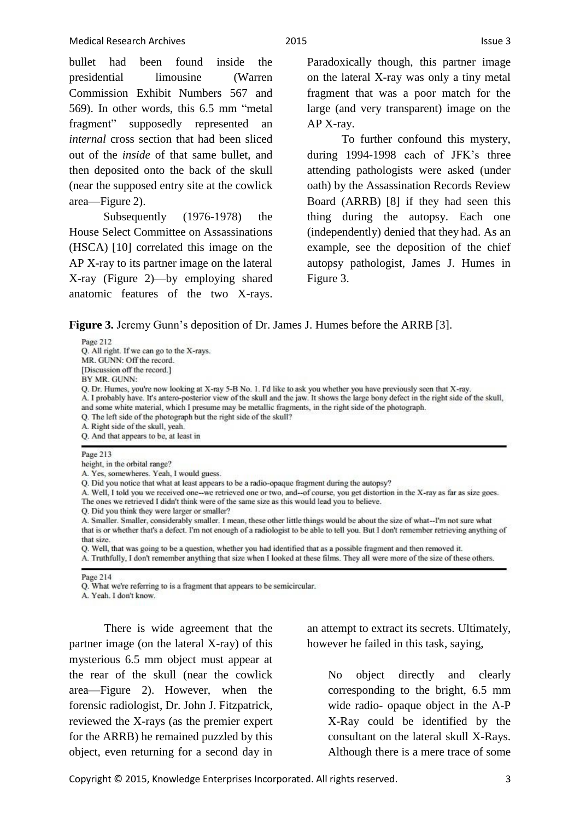bullet had been found inside the presidential limousine (Warren Commission Exhibit Numbers 567 and 569). In other words, this 6.5 mm "metal fragment" supposedly represented an *internal* cross section that had been sliced out of the *inside* of that same bullet, and then deposited onto the back of the skull (near the supposed entry site at the cowlick area—Figure 2).

Subsequently (1976-1978) the House Select Committee on Assassinations (HSCA) [10] correlated this image on the AP X-ray to its partner image on the lateral X-ray (Figure 2)—by employing shared anatomic features of the two X-rays.

Paradoxically though, this partner image on the lateral X-ray was only a tiny metal fragment that was a poor match for the large (and very transparent) image on the AP X-ray.

To further confound this mystery, during 1994-1998 each of JFK's three attending pathologists were asked (under oath) by the Assassination Records Review Board (ARRB) [8] if they had seen this thing during the autopsy. Each one (independently) denied that they had. As an example, see the deposition of the chief autopsy pathologist, James J. Humes in Figure 3.

**Figure 3.** Jeremy Gunn's deposition of Dr. James J. Humes before the ARRB [3].

Page 212 Q. All right. If we can go to the X-rays. MR. GUNN: Off the record. Discussion off the record 1 BY MR. GUNN: Q. Dr. Humes, you're now looking at X-ray 5-B No. 1. I'd like to ask you whether you have previously seen that X-ray. A. I probably have. It's antero-posterior view of the skull and the jaw. It shows the large bony defect in the right side of the skull, and some white material, which I presume may be metallic fragments, in the right side of the photograph. Q. The left side of the photograph but the right side of the skull? A. Right side of the skull, yeah. Q. And that appears to be, at least in Page 213 height, in the orbital range? A. Yes, somewheres. Yeah, I would guess. Q. Did you notice that what at least appears to be a radio-opaque fragment during the autopsy?

A. Well, I told you we received one--we retrieved one or two, and--of course, you get distortion in the X-ray as far as size goes. The ones we retrieved I didn't think were of the same size as this would lead you to believe.

Q. Did you think they were larger or smaller?

A. Smaller. Smaller, considerably smaller. I mean, these other little things would be about the size of what--I'm not sure what that is or whether that's a defect. I'm not enough of a radiologist to be able to tell you. But I don't remember retrieving anything of that size.

Q. Well, that was going to be a question, whether you had identified that as a possible fragment and then removed it. A. Truthfully, I don't remember anything that size when I looked at these films. They all were more of the size of these others.

Page 214

Q. What we're referring to is a fragment that appears to be semicircular.

A. Yeah. I don't know.

There is wide agreement that the partner image (on the lateral X-ray) of this mysterious 6.5 mm object must appear at the rear of the skull (near the cowlick area—Figure 2). However, when the forensic radiologist, Dr. John J. Fitzpatrick, reviewed the X-rays (as the premier expert for the ARRB) he remained puzzled by this object, even returning for a second day in

an attempt to extract its secrets. Ultimately, however he failed in this task, saying,

No object directly and clearly corresponding to the bright, 6.5 mm wide radio- opaque object in the A-P X-Ray could be identified by the consultant on the lateral skull X-Rays. Although there is a mere trace of some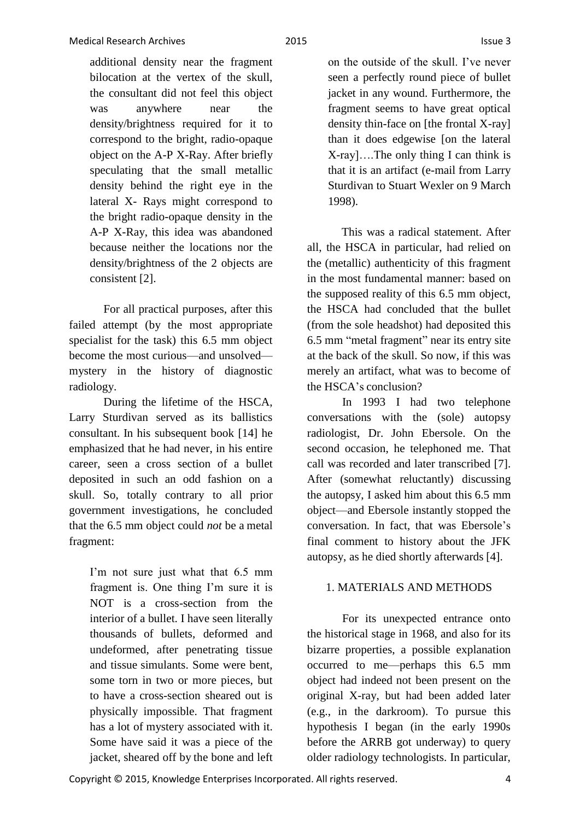additional density near the fragment bilocation at the vertex of the skull, the consultant did not feel this object was anywhere near the density/brightness required for it to correspond to the bright, radio-opaque object on the A-P X-Ray. After briefly speculating that the small metallic density behind the right eye in the lateral X- Rays might correspond to the bright radio-opaque density in the A-P X-Ray, this idea was abandoned because neither the locations nor the density/brightness of the 2 objects are consistent [2].

For all practical purposes, after this failed attempt (by the most appropriate specialist for the task) this 6.5 mm object become the most curious—and unsolved mystery in the history of diagnostic radiology.

During the lifetime of the HSCA, Larry Sturdivan served as its ballistics consultant. In his subsequent book [14] he emphasized that he had never, in his entire career, seen a cross section of a bullet deposited in such an odd fashion on a skull. So, totally contrary to all prior government investigations, he concluded that the 6.5 mm object could *not* be a metal fragment:

> I'm not sure just what that 6.5 mm fragment is. One thing I'm sure it is NOT is a cross-section from the interior of a bullet. I have seen literally thousands of bullets, deformed and undeformed, after penetrating tissue and tissue simulants. Some were bent, some torn in two or more pieces, but to have a cross-section sheared out is physically impossible. That fragment has a lot of mystery associated with it. Some have said it was a piece of the jacket, sheared off by the bone and left

that it is an artifact (e-mail from Larry Sturdivan to Stuart Wexler on 9 March

This was a radical statement. After all, the HSCA in particular, had relied on the (metallic) authenticity of this fragment in the most fundamental manner: based on the supposed reality of this 6.5 mm object, the HSCA had concluded that the bullet (from the sole headshot) had deposited this 6.5 mm "metal fragment" near its entry site at the back of the skull. So now, if this was merely an artifact, what was to become of the HSCA's conclusion?

In 1993 I had two telephone conversations with the (sole) autopsy radiologist, Dr. John Ebersole. On the second occasion, he telephoned me. That call was recorded and later transcribed [7]. After (somewhat reluctantly) discussing the autopsy, I asked him about this 6.5 mm object—and Ebersole instantly stopped the conversation. In fact, that was Ebersole's final comment to history about the JFK autopsy, as he died shortly afterwards [4].

## 1. MATERIALS AND METHODS

For its unexpected entrance onto the historical stage in 1968, and also for its bizarre properties, a possible explanation occurred to me—perhaps this 6.5 mm object had indeed not been present on the original X-ray, but had been added later (e.g., in the darkroom). To pursue this hypothesis I began (in the early 1990s before the ARRB got underway) to query older radiology technologists. In particular,

1998).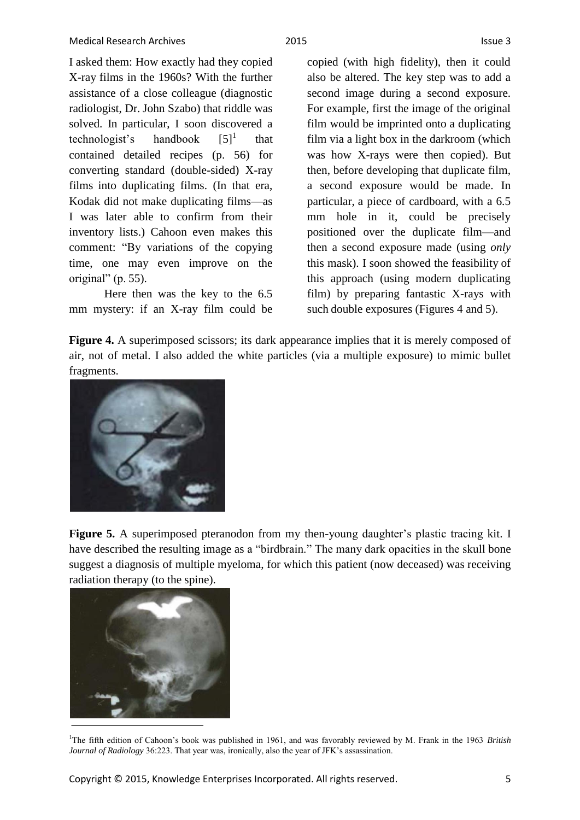I asked them: How exactly had they copied X-ray films in the 1960s? With the further assistance of a close colleague (diagnostic radiologist, Dr. John Szabo) that riddle was solved. In particular, I soon discovered a technologist's handbook  $[5]$ <sup>1</sup> that contained detailed recipes (p. 56) for converting standard (double-sided) X-ray films into duplicating films. (In that era, Kodak did not make duplicating films—as I was later able to confirm from their inventory lists.) Cahoon even makes this comment: "By variations of the copying time, one may even improve on the original" (p. 55).

Here then was the key to the 6.5 mm mystery: if an X-ray film could be copied (with high fidelity), then it could also be altered. The key step was to add a second image during a second exposure. For example, first the image of the original film would be imprinted onto a duplicating film via a light box in the darkroom (which was how X-rays were then copied). But then, before developing that duplicate film, a second exposure would be made. In particular, a piece of cardboard, with a 6.5 mm hole in it, could be precisely positioned over the duplicate film—and then a second exposure made (using *only*  this mask). I soon showed the feasibility of this approach (using modern duplicating film) by preparing fantastic X-rays with such double exposures (Figures 4 and 5).

Figure 4. A superimposed scissors; its dark appearance implies that it is merely composed of air, not of metal. I also added the white particles (via a multiple exposure) to mimic bullet fragments.



Figure 5. A superimposed pteranodon from my then-young daughter's plastic tracing kit. I have described the resulting image as a "birdbrain." The many dark opacities in the skull bone suggest a diagnosis of multiple myeloma, for which this patient (now deceased) was receiving radiation therapy (to the spine).



<sup>&</sup>lt;sup>1</sup>The fifth edition of Cahoon's book was published in 1961, and was favorably reviewed by M. Frank in the 1963 *British Journal of Radiology* 36:223. That year was, ironically, also the year of JFK's assassination.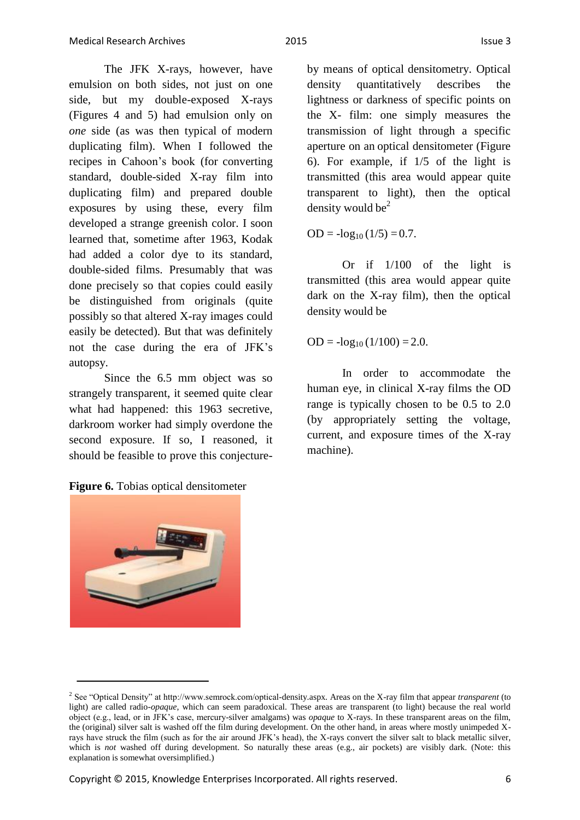The JFK X-rays, however, have emulsion on both sides, not just on one side, but my double-exposed X-rays (Figures 4 and 5) had emulsion only on *one* side (as was then typical of modern duplicating film). When I followed the recipes in Cahoon's book (for converting standard, double-sided X-ray film into duplicating film) and prepared double exposures by using these, every film developed a strange greenish color. I soon learned that, sometime after 1963, Kodak had added a color dye to its standard, double-sided films. Presumably that was done precisely so that copies could easily be distinguished from originals (quite possibly so that altered X-ray images could easily be detected). But that was definitely not the case during the era of JFK's autopsy.

Since the 6.5 mm object was so strangely transparent, it seemed quite clear what had happened: this 1963 secretive, darkroom worker had simply overdone the second exposure. If so, I reasoned, it should be feasible to prove this conjecture-

**Figure 6.** Tobias optical densitometer

by means of optical densitometry. Optical density quantitatively describes the lightness or darkness of specific points on the X- film: one simply measures the transmission of light through a specific aperture on an optical densitometer (Figure 6). For example, if 1/5 of the light is transmitted (this area would appear quite transparent to light), then the optical density would be $2$ 

 $OD = -log_{10}(1/5) = 0.7$ .

Or if 1/100 of the light is transmitted (this area would appear quite dark on the X-ray film), then the optical density would be

 $OD = -\log_{10} (1/100) = 2.0.$ 

In order to accommodate the human eye, in clinical X-ray films the OD range is typically chosen to be 0.5 to 2.0 (by appropriately setting the voltage, current, and exposure times of the X-ray machine).

<sup>2</sup> See "Optical Density" at http://www.semrock.com/optical-density.aspx. Areas on the X-ray film that appear *transparent* (to light) are called radio-*opaque*, which can seem paradoxical. These areas are transparent (to light) because the real world object (e.g., lead, or in JFK's case, mercury-silver amalgams) was *opaque* to X-rays. In these transparent areas on the film, the (original) silver salt is washed off the film during development. On the other hand, in areas where mostly unimpeded Xrays have struck the film (such as for the air around JFK's head), the X-rays convert the silver salt to black metallic silver, which is *not* washed off during development. So naturally these areas (e.g., air pockets) are visibly dark. (Note: this explanation is somewhat oversimplified.)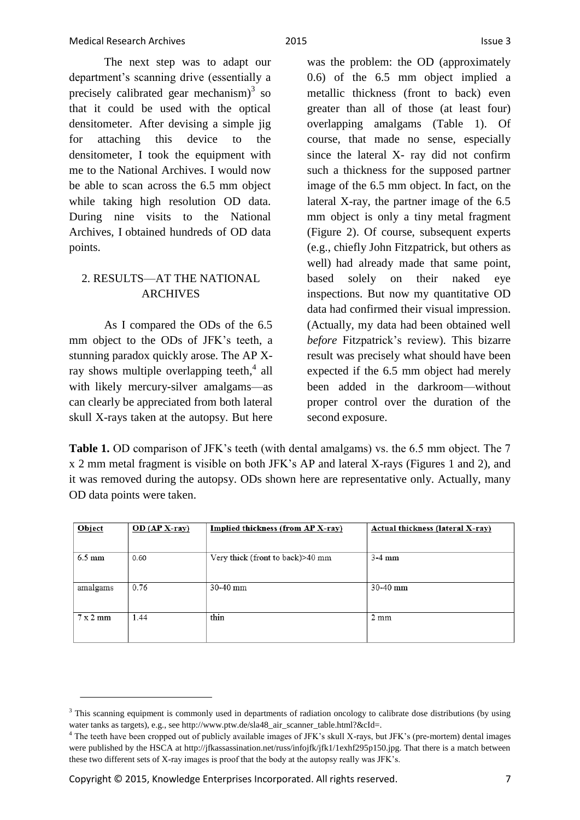The next step was to adapt our department's scanning drive (essentially a precisely calibrated gear mechanism) $3$  so that it could be used with the optical densitometer. After devising a simple jig for attaching this device to the densitometer, I took the equipment with me to the National Archives. I would now be able to scan across the 6.5 mm object while taking high resolution OD data. During nine visits to the National Archives, I obtained hundreds of OD data points.

# 2. RESULTS—AT THE NATIONAL ARCHIVES

As I compared the ODs of the 6.5 mm object to the ODs of JFK's teeth, a stunning paradox quickly arose. The AP Xray shows multiple overlapping teeth,<sup>4</sup> all with likely mercury-silver amalgams—as can clearly be appreciated from both lateral skull X-rays taken at the autopsy. But here was the problem: the OD (approximately 0.6) of the 6.5 mm object implied a metallic thickness (front to back) even greater than all of those (at least four) overlapping amalgams (Table 1). Of course, that made no sense, especially since the lateral X- ray did not confirm such a thickness for the supposed partner image of the 6.5 mm object. In fact, on the lateral X-ray, the partner image of the 6.5 mm object is only a tiny metal fragment (Figure 2). Of course, subsequent experts (e.g., chiefly John Fitzpatrick, but others as well) had already made that same point, based solely on their naked eye inspections. But now my quantitative OD data had confirmed their visual impression. (Actually, my data had been obtained well *before* Fitzpatrick's review). This bizarre result was precisely what should have been expected if the 6.5 mm object had merely been added in the darkroom—without proper control over the duration of the second exposure.

**Table 1.** OD comparison of JFK's teeth (with dental amalgams) vs. the 6.5 mm object. The 7 x 2 mm metal fragment is visible on both JFK's AP and lateral X-rays (Figures 1 and 2), and it was removed during the autopsy. ODs shown here are representative only. Actually, many OD data points were taken.

| Object                  | $OD (AP X-ray)$ | Implied thickness (from AP X-ray) | Actual thickness (lateral X-ray) |
|-------------------------|-----------------|-----------------------------------|----------------------------------|
| $6.5 \text{ mm}$        | 0.60            | Very thick (front to back)>40 mm  | $3-4$ mm                         |
| amalgams                | 0.76            | $30-40$ mm                        | $30-40$ mm                       |
| $7 \times 2 \text{ mm}$ | 1.44            | thin                              | $2 \text{ mm}$                   |

<sup>&</sup>lt;sup>3</sup> This scanning equipment is commonly used in departments of radiation oncology to calibrate dose distributions (by using water tanks as targets), e.g., see http://www.ptw.de/sla48\_air\_scanner\_table.html?&cId=.

<sup>4</sup> The teeth have been cropped out of publicly available images of JFK's skull X-rays, but JFK's (pre-mortem) dental images were published by the HSCA at http://jfkassassination.net/russ/infojfk/jfk1/1exhf295p150.jpg. That there is a match between these two different sets of X-ray images is proof that the body at the autopsy really was JFK's.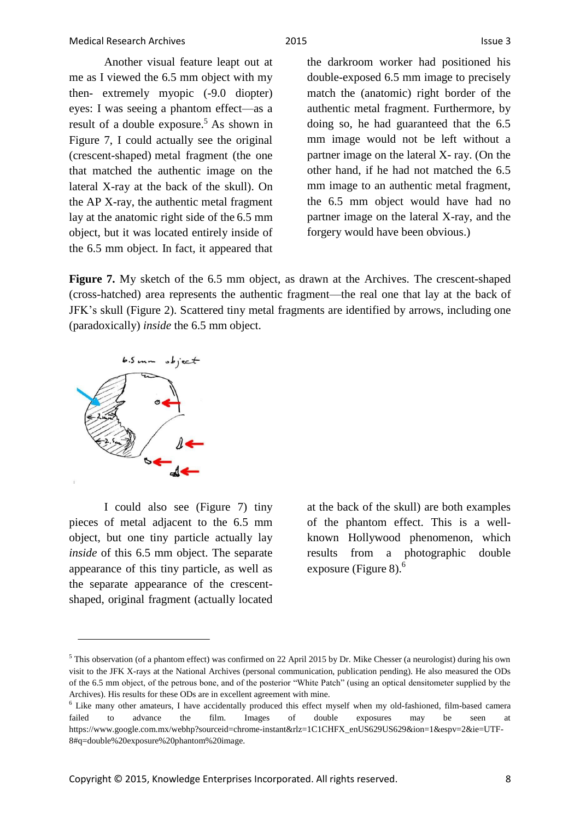Another visual feature leapt out at me as I viewed the 6.5 mm object with my then- extremely myopic (-9.0 diopter) eyes: I was seeing a phantom effect—as a result of a double exposure.<sup>5</sup> As shown in Figure 7, I could actually see the original (crescent-shaped) metal fragment (the one that matched the authentic image on the lateral X-ray at the back of the skull). On the AP X-ray, the authentic metal fragment lay at the anatomic right side of the 6.5 mm object, but it was located entirely inside of the 6.5 mm object. In fact, it appeared that

the darkroom worker had positioned his double-exposed 6.5 mm image to precisely match the (anatomic) right border of the authentic metal fragment. Furthermore, by doing so, he had guaranteed that the 6.5 mm image would not be left without a partner image on the lateral X- ray. (On the other hand, if he had not matched the 6.5 mm image to an authentic metal fragment, the 6.5 mm object would have had no partner image on the lateral X-ray, and the forgery would have been obvious.)

**Figure 7.** My sketch of the 6.5 mm object, as drawn at the Archives. The crescent-shaped (cross-hatched) area represents the authentic fragment—the real one that lay at the back of JFK's skull (Figure 2). Scattered tiny metal fragments are identified by arrows, including one (paradoxically) *inside* the 6.5 mm object.



I could also see (Figure 7) tiny pieces of metal adjacent to the 6.5 mm object, but one tiny particle actually lay *inside* of this 6.5 mm object. The separate appearance of this tiny particle, as well as the separate appearance of the crescentshaped, original fragment (actually located at the back of the skull) are both examples of the phantom effect. This is a wellknown Hollywood phenomenon, which results from a photographic double exposure (Figure 8). $<sup>6</sup>$ </sup>

<sup>&</sup>lt;sup>5</sup> This observation (of a phantom effect) was confirmed on 22 April 2015 by Dr. Mike Chesser (a neurologist) during his own visit to the JFK X-rays at the National Archives (personal communication, publication pending). He also measured the ODs of the 6.5 mm object, of the petrous bone, and of the posterior "White Patch" (using an optical densitometer supplied by the Archives). His results for these ODs are in excellent agreement with mine.

<sup>6</sup> Like many other amateurs, I have accidentally produced this effect myself when my old-fashioned, film-based camera failed to advance the film. Images of double exposures may be seen at https://www.google.com.mx/webhp?sourceid=chrome-instant&rlz=1C1CHFX\_enUS629US629&ion=1&espv=2&ie=UTF-8#q=double%20exposure%20phantom%20image.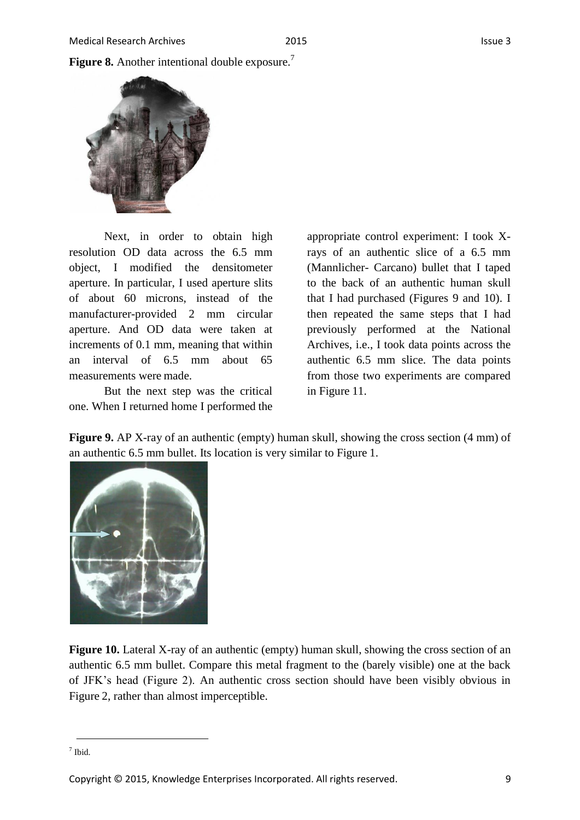

Next, in order to obtain high resolution OD data across the 6.5 mm object, I modified the densitometer aperture. In particular, I used aperture slits of about 60 microns, instead of the manufacturer-provided 2 mm circular aperture. And OD data were taken at increments of 0.1 mm, meaning that within an interval of 6.5 mm about 65 measurements were made.

But the next step was the critical one. When I returned home I performed the

appropriate control experiment: I took Xrays of an authentic slice of a 6.5 mm (Mannlicher- Carcano) bullet that I taped to the back of an authentic human skull that I had purchased (Figures 9 and 10). I then repeated the same steps that I had previously performed at the National Archives, i.e., I took data points across the authentic 6.5 mm slice. The data points from those two experiments are compared in Figure 11.

**Figure 9.** AP X-ray of an authentic (empty) human skull, showing the cross section (4 mm) of an authentic 6.5 mm bullet. Its location is very similar to Figure 1.



**Figure 10.** Lateral X-ray of an authentic (empty) human skull, showing the cross section of an authentic 6.5 mm bullet. Compare this metal fragment to the (barely visible) one at the back of JFK's head (Figure 2). An authentic cross section should have been visibly obvious in Figure 2, rather than almost imperceptible.

Copyright © 2015, Knowledge Enterprises Incorporated. All rights reserved. 9

<sup>7</sup> Ibid.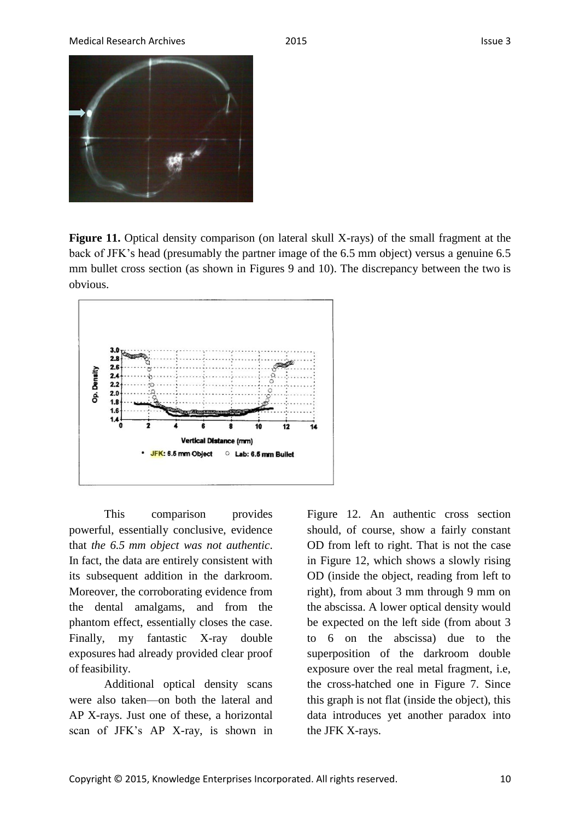

**Figure 11.** Optical density comparison (on lateral skull X-rays) of the small fragment at the back of JFK's head (presumably the partner image of the 6.5 mm object) versus a genuine 6.5 mm bullet cross section (as shown in Figures 9 and 10). The discrepancy between the two is obvious.



This comparison provides powerful, essentially conclusive, evidence that *the 6.5 mm object was not authentic*. In fact, the data are entirely consistent with its subsequent addition in the darkroom. Moreover, the corroborating evidence from the dental amalgams, and from the phantom effect, essentially closes the case. Finally, my fantastic X-ray double exposures had already provided clear proof of feasibility.

Additional optical density scans were also taken—on both the lateral and AP X-rays. Just one of these, a horizontal scan of JFK's AP X-ray, is shown in Figure 12. An authentic cross section should, of course, show a fairly constant OD from left to right. That is not the case in Figure 12, which shows a slowly rising OD (inside the object, reading from left to right), from about 3 mm through 9 mm on the abscissa. A lower optical density would be expected on the left side (from about 3 to 6 on the abscissa) due to the superposition of the darkroom double exposure over the real metal fragment, i.e, the cross-hatched one in Figure 7. Since this graph is not flat (inside the object), this data introduces yet another paradox into the JFK X-rays.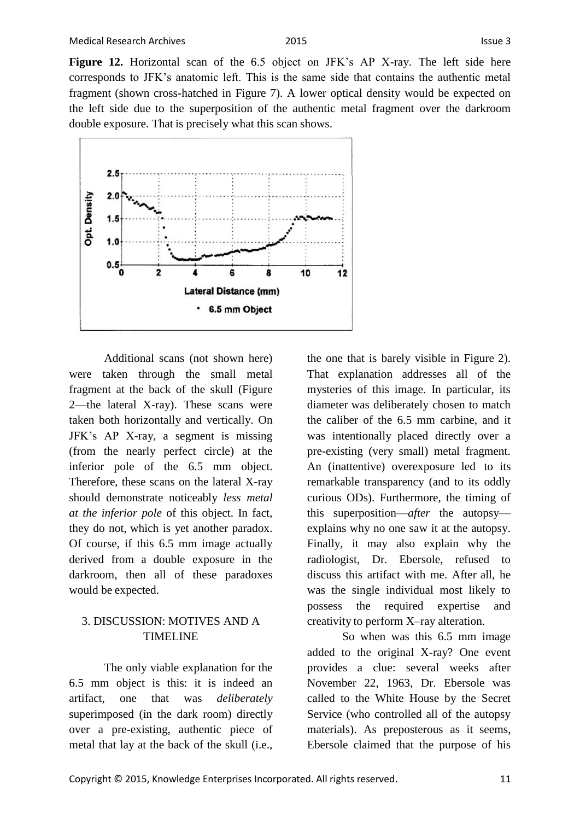**Figure 12.** Horizontal scan of the 6.5 object on JFK's AP X-ray. The left side here corresponds to JFK's anatomic left. This is the same side that contains the authentic metal fragment (shown cross-hatched in Figure 7). A lower optical density would be expected on the left side due to the superposition of the authentic metal fragment over the darkroom double exposure. That is precisely what this scan shows.



Additional scans (not shown here) were taken through the small metal fragment at the back of the skull (Figure 2—the lateral X-ray). These scans were taken both horizontally and vertically. On JFK's AP X-ray, a segment is missing (from the nearly perfect circle) at the inferior pole of the 6.5 mm object. Therefore, these scans on the lateral X-ray should demonstrate noticeably *less metal at the inferior pole* of this object. In fact, they do not, which is yet another paradox. Of course, if this 6.5 mm image actually derived from a double exposure in the darkroom, then all of these paradoxes would be expected.

## 3. DISCUSSION: MOTIVES AND A TIMELINE

The only viable explanation for the 6.5 mm object is this: it is indeed an artifact, one that was *deliberately*  superimposed (in the dark room) directly over a pre-existing, authentic piece of metal that lay at the back of the skull (i.e., the one that is barely visible in Figure 2). That explanation addresses all of the mysteries of this image. In particular, its diameter was deliberately chosen to match the caliber of the 6.5 mm carbine, and it was intentionally placed directly over a pre-existing (very small) metal fragment. An (inattentive) overexposure led to its remarkable transparency (and to its oddly curious ODs). Furthermore, the timing of this superposition—*after* the autopsy explains why no one saw it at the autopsy. Finally, it may also explain why the radiologist, Dr. Ebersole, refused to discuss this artifact with me. After all, he was the single individual most likely to possess the required expertise and creativity to perform X–ray alteration.

So when was this 6.5 mm image added to the original X-ray? One event provides a clue: several weeks after November 22, 1963, Dr. Ebersole was called to the White House by the Secret Service (who controlled all of the autopsy materials). As preposterous as it seems, Ebersole claimed that the purpose of his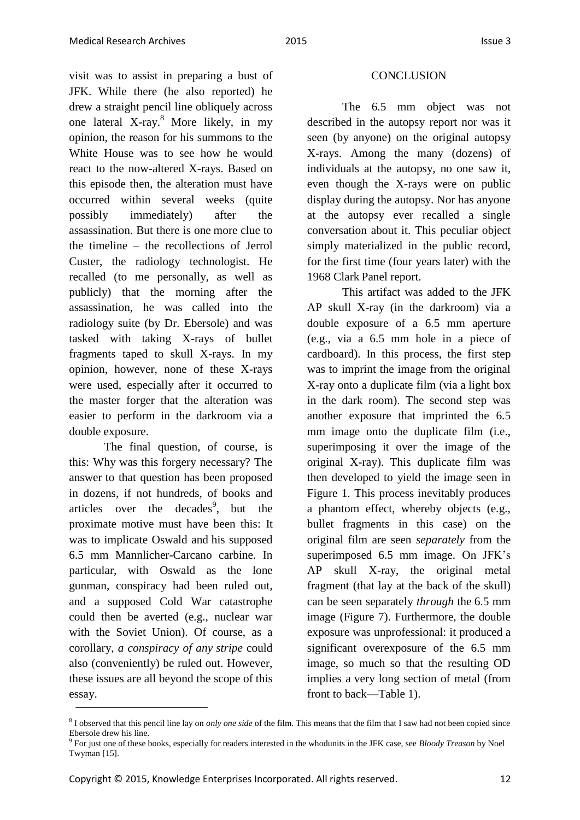visit was to assist in preparing a bust of JFK. While there (he also reported) he drew a straight pencil line obliquely across one lateral X-ray.<sup>8</sup> More likely, in my opinion, the reason for his summons to the White House was to see how he would react to the now-altered X-rays. Based on this episode then, the alteration must have occurred within several weeks (quite possibly immediately) after the assassination. But there is one more clue to the timeline – the recollections of Jerrol Custer, the radiology technologist. He recalled (to me personally, as well as publicly) that the morning after the assassination, he was called into the radiology suite (by Dr. Ebersole) and was tasked with taking X-rays of bullet fragments taped to skull X-rays. In my opinion, however, none of these X-rays were used, especially after it occurred to the master forger that the alteration was easier to perform in the darkroom via a double exposure.

The final question, of course, is this: Why was this forgery necessary? The answer to that question has been proposed in dozens, if not hundreds, of books and articles over the decades<sup>9</sup>, but the proximate motive must have been this: It was to implicate Oswald and his supposed 6.5 mm Mannlicher-Carcano carbine. In particular, with Oswald as the lone gunman, conspiracy had been ruled out, and a supposed Cold War catastrophe could then be averted (e.g., nuclear war with the Soviet Union). Of course, as a corollary, *a conspiracy of any stripe* could also (conveniently) be ruled out. However, these issues are all beyond the scope of this essay.

#### **CONCLUSION**

The 6.5 mm object was not described in the autopsy report nor was it seen (by anyone) on the original autopsy X-rays. Among the many (dozens) of individuals at the autopsy, no one saw it, even though the X-rays were on public display during the autopsy. Nor has anyone at the autopsy ever recalled a single conversation about it. This peculiar object simply materialized in the public record, for the first time (four years later) with the 1968 Clark Panel report.

This artifact was added to the JFK AP skull X-ray (in the darkroom) via a double exposure of a 6.5 mm aperture (e.g., via a 6.5 mm hole in a piece of cardboard). In this process, the first step was to imprint the image from the original X-ray onto a duplicate film (via a light box in the dark room). The second step was another exposure that imprinted the 6.5 mm image onto the duplicate film (i.e., superimposing it over the image of the original X-ray). This duplicate film was then developed to yield the image seen in Figure 1. This process inevitably produces a phantom effect, whereby objects (e.g., bullet fragments in this case) on the original film are seen *separately* from the superimposed 6.5 mm image. On JFK's AP skull X-ray, the original metal fragment (that lay at the back of the skull) can be seen separately *through* the 6.5 mm image (Figure 7). Furthermore, the double exposure was unprofessional: it produced a significant overexposure of the 6.5 mm image, so much so that the resulting OD implies a very long section of metal (from front to back—Table 1).

<sup>8</sup> I observed that this pencil line lay on *only one side* of the film. This means that the film that I saw had not been copied since Ebersole drew his line.

<sup>9</sup> For just one of these books, especially for readers interested in the whodunits in the JFK case, see *Bloody Treason* by Noel Twyman [15].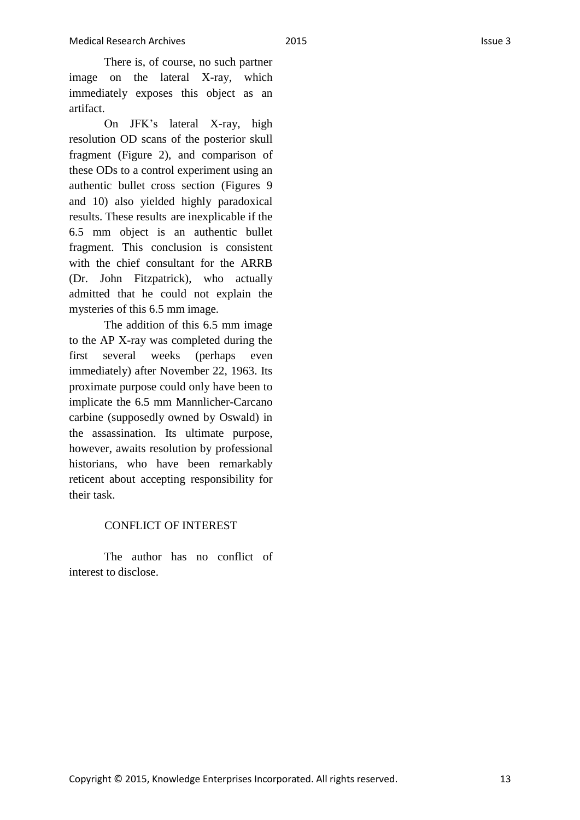There is, of course, no such partner image on the lateral X-ray, which immediately exposes this object as an artifact.

On JFK's lateral X-ray, high resolution OD scans of the posterior skull fragment (Figure 2), and comparison of these ODs to a control experiment using an authentic bullet cross section (Figures 9 and 10) also yielded highly paradoxical results. These results are inexplicable if the 6.5 mm object is an authentic bullet fragment. This conclusion is consistent with the chief consultant for the ARRB (Dr. John Fitzpatrick), who actually admitted that he could not explain the mysteries of this 6.5 mm image.

The addition of this 6.5 mm image to the AP X-ray was completed during the first several weeks (perhaps even immediately) after November 22, 1963. Its proximate purpose could only have been to implicate the 6.5 mm Mannlicher-Carcano carbine (supposedly owned by Oswald) in the assassination. Its ultimate purpose, however, awaits resolution by professional historians, who have been remarkably reticent about accepting responsibility for their task.

## CONFLICT OF INTEREST

The author has no conflict of interest to disclose.